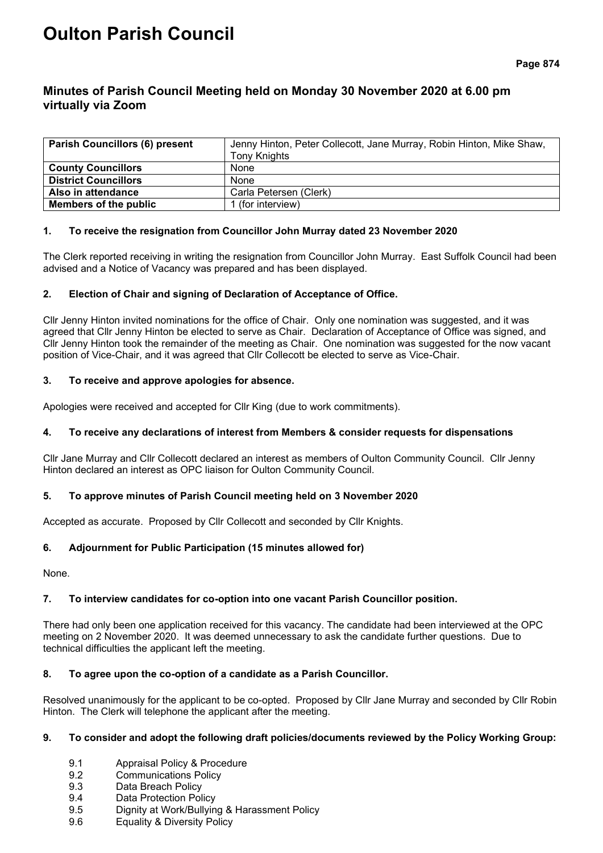# **Oulton Parish Council**

# **Minutes of Parish Council Meeting held on Monday 30 November 2020 at 6.00 pm virtually via Zoom**

| <b>Parish Councillors (6) present</b> | Jenny Hinton, Peter Collecott, Jane Murray, Robin Hinton, Mike Shaw,<br>Tony Knights |
|---------------------------------------|--------------------------------------------------------------------------------------|
| <b>County Councillors</b>             | None                                                                                 |
| <b>District Councillors</b>           | None                                                                                 |
| Also in attendance                    | Carla Petersen (Clerk)                                                               |
| Members of the public                 | I (for interview)                                                                    |

# **1. To receive the resignation from Councillor John Murray dated 23 November 2020**

The Clerk reported receiving in writing the resignation from Councillor John Murray. East Suffolk Council had been advised and a Notice of Vacancy was prepared and has been displayed.

# **2. Election of Chair and signing of Declaration of Acceptance of Office.**

Cllr Jenny Hinton invited nominations for the office of Chair. Only one nomination was suggested, and it was agreed that Cllr Jenny Hinton be elected to serve as Chair. Declaration of Acceptance of Office was signed, and Cllr Jenny Hinton took the remainder of the meeting as Chair. One nomination was suggested for the now vacant position of Vice-Chair, and it was agreed that Cllr Collecott be elected to serve as Vice-Chair.

# **3. To receive and approve apologies for absence.**

Apologies were received and accepted for Cllr King (due to work commitments).

# **4. To receive any declarations of interest from Members & consider requests for dispensations**

Cllr Jane Murray and Cllr Collecott declared an interest as members of Oulton Community Council. Cllr Jenny Hinton declared an interest as OPC liaison for Oulton Community Council.

#### **5. To approve minutes of Parish Council meeting held on 3 November 2020**

Accepted as accurate. Proposed by Cllr Collecott and seconded by Cllr Knights.

# **6. Adjournment for Public Participation (15 minutes allowed for)**

None.

# **7. To interview candidates for co-option into one vacant Parish Councillor position.**

There had only been one application received for this vacancy. The candidate had been interviewed at the OPC meeting on 2 November 2020. It was deemed unnecessary to ask the candidate further questions. Due to technical difficulties the applicant left the meeting.

#### **8. To agree upon the co-option of a candidate as a Parish Councillor.**

Resolved unanimously for the applicant to be co-opted. Proposed by Cllr Jane Murray and seconded by Cllr Robin Hinton. The Clerk will telephone the applicant after the meeting.

#### **9. To consider and adopt the following draft policies/documents reviewed by the Policy Working Group:**

- 9.1 Appraisal Policy & Procedure
- 9.2 Communications Policy
- 9.3 Data Breach Policy
- 9.4 Data Protection Policy
- 9.5 Dignity at Work/Bullying & Harassment Policy
- 9.6 Equality & Diversity Policy